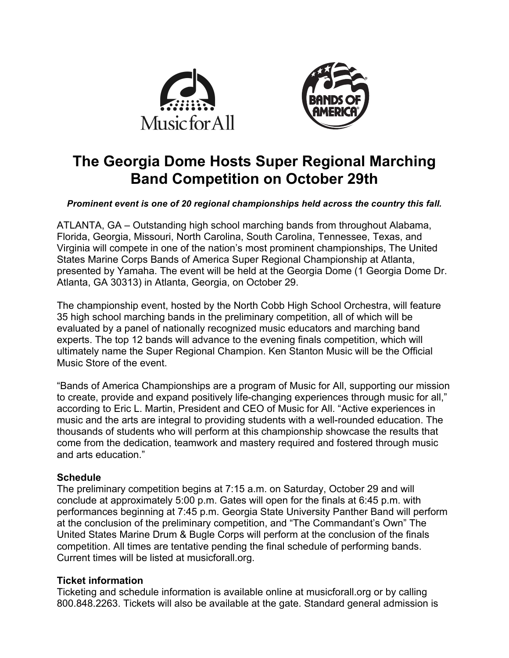



# **The Georgia Dome Hosts Super Regional Marching Band Competition on October 29th**

## *Prominent event is one of 20 regional championships held across the country this fall.*

ATLANTA, GA – Outstanding high school marching bands from throughout Alabama, Florida, Georgia, Missouri, North Carolina, South Carolina, Tennessee, Texas, and Virginia will compete in one of the nation's most prominent championships, The United States Marine Corps Bands of America Super Regional Championship at Atlanta, presented by Yamaha. The event will be held at the Georgia Dome (1 Georgia Dome Dr. Atlanta, GA 30313) in Atlanta, Georgia, on October 29.

The championship event, hosted by the North Cobb High School Orchestra, will feature 35 high school marching bands in the preliminary competition, all of which will be evaluated by a panel of nationally recognized music educators and marching band experts. The top 12 bands will advance to the evening finals competition, which will ultimately name the Super Regional Champion. Ken Stanton Music will be the Official Music Store of the event.

"Bands of America Championships are a program of Music for All, supporting our mission to create, provide and expand positively life-changing experiences through music for all," according to Eric L. Martin, President and CEO of Music for All. "Active experiences in music and the arts are integral to providing students with a well-rounded education. The thousands of students who will perform at this championship showcase the results that come from the dedication, teamwork and mastery required and fostered through music and arts education."

# **Schedule**

The preliminary competition begins at 7:15 a.m. on Saturday, October 29 and will conclude at approximately 5:00 p.m. Gates will open for the finals at 6:45 p.m. with performances beginning at 7:45 p.m. Georgia State University Panther Band will perform at the conclusion of the preliminary competition, and "The Commandant's Own" The United States Marine Drum & Bugle Corps will perform at the conclusion of the finals competition. All times are tentative pending the final schedule of performing bands. Current times will be listed at musicforall.org.

# **Ticket information**

Ticketing and schedule information is available online at musicforall.org or by calling 800.848.2263. Tickets will also be available at the gate. Standard general admission is